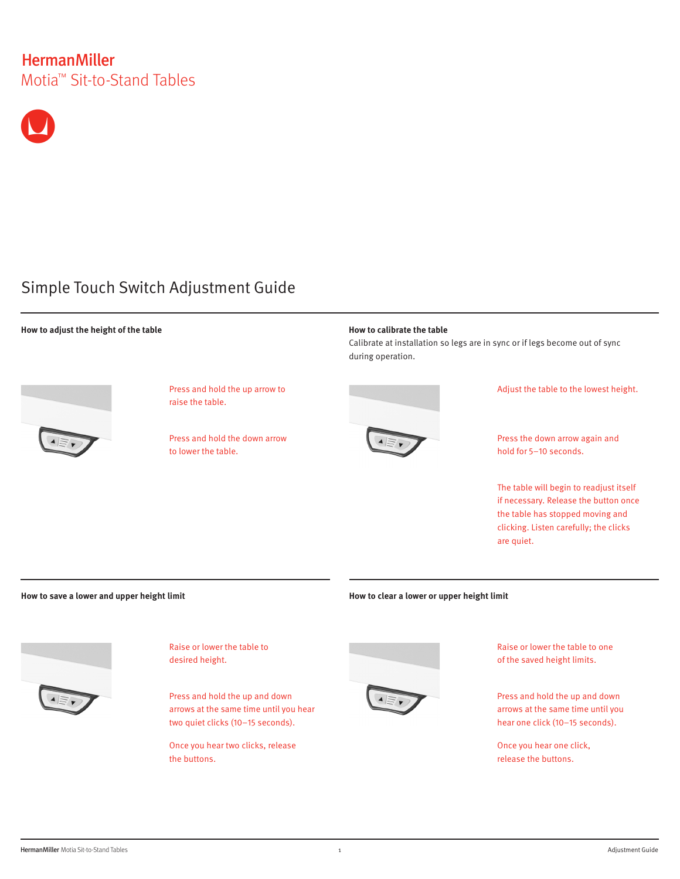# **HermanMiller** Motia™ Sit-to-Stand Tables



# Simple Touch Switch Adjustment Guide

## **How to adjust the height of the table**



Press and hold the up arrow to raise the table.

Press and hold the down arrow to lower the table.



Calibrate at installation so legs are in sync or if legs become out of sync during operation.



Adjust the table to the lowest height.

Press the down arrow again and hold for 5–10 seconds.

The table will begin to readjust itself if necessary. Release the button once the table has stopped moving and clicking. Listen carefully; the clicks are quiet.

**How to save a lower and upper height limit**



Raise or lower the table to desired height.

Press and hold the up and down arrows at the same time until you hear two quiet clicks (10–15 seconds).

Once you hear two clicks, release the buttons.

**How to clear a lower or upper height limit**



Raise or lower the table to one of the saved height limits.

Press and hold the up and down arrows at the same time until you hear one click (10–15 seconds).

Once you hear one click, release the buttons.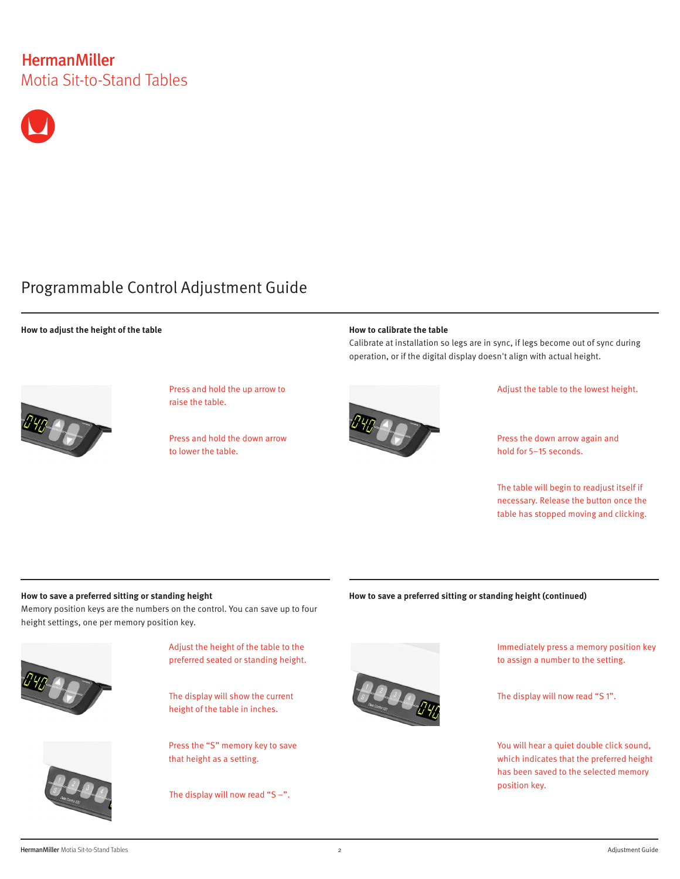# **HermanMiller** Motia Sit-to-Stand Tables



# Programmable Control Adjustment Guide

## **How to adjust the height of the table**



Press and hold the up arrow to raise the table.

Press and hold the down arrow to lower the table.

### **How to calibrate the table**

Calibrate at installation so legs are in sync, if legs become out of sync during operation, or if the digital display doesn't align with actual height.



#### Adjust the table to the lowest height.

Press the down arrow again and hold for 5–15 seconds.

The table will begin to readjust itself if necessary. Release the button once the table has stopped moving and clicking.

## **How to save a preferred sitting or standing height**

Memory position keys are the numbers on the control. You can save up to four height settings, one per memory position key.



Adjust the height of the table to the preferred seated or standing height.

The display will show the current height of the table in inches.

Press the "S" memory key to save that height as a setting.

The display will now read "S  $-$ ".

## **How to save a preferred sitting or standing height (continued)**



Immediately press a memory position key to assign a number to the setting.

The display will now read "S 1".

You will hear a quiet double click sound, which indicates that the preferred height has been saved to the selected memory position key.